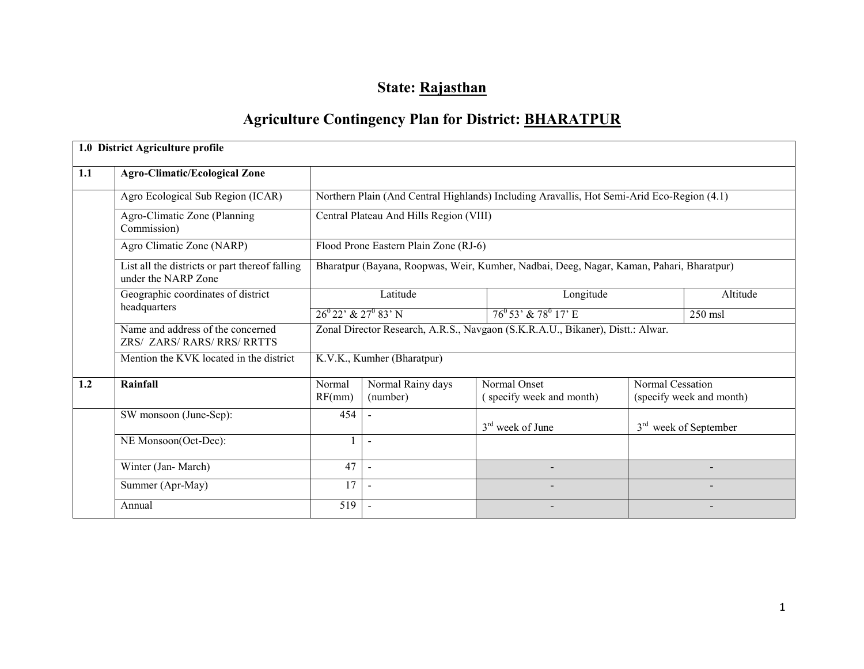# State: Rajasthan

# Agriculture Contingency Plan for District: BHARATPUR

|     | 1.0 District Agriculture profile                                      |                                                                                |                                         |                                                                                            |                  |                                   |  |  |  |
|-----|-----------------------------------------------------------------------|--------------------------------------------------------------------------------|-----------------------------------------|--------------------------------------------------------------------------------------------|------------------|-----------------------------------|--|--|--|
| 1.1 | <b>Agro-Climatic/Ecological Zone</b>                                  |                                                                                |                                         |                                                                                            |                  |                                   |  |  |  |
|     | Agro Ecological Sub Region (ICAR)                                     |                                                                                |                                         | Northern Plain (And Central Highlands) Including Aravallis, Hot Semi-Arid Eco-Region (4.1) |                  |                                   |  |  |  |
|     | Agro-Climatic Zone (Planning<br>Commission)                           |                                                                                | Central Plateau And Hills Region (VIII) |                                                                                            |                  |                                   |  |  |  |
|     | Agro Climatic Zone (NARP)                                             |                                                                                | Flood Prone Eastern Plain Zone (RJ-6)   |                                                                                            |                  |                                   |  |  |  |
|     | List all the districts or part thereof falling<br>under the NARP Zone |                                                                                |                                         | Bharatpur (Bayana, Roopwas, Weir, Kumher, Nadbai, Deeg, Nagar, Kaman, Pahari, Bharatpur)   |                  |                                   |  |  |  |
|     | Geographic coordinates of district                                    |                                                                                | Latitude                                | Longitude                                                                                  |                  |                                   |  |  |  |
|     | headquarters                                                          |                                                                                | $26^{0}22'$ & $27^{0}83'$ N             |                                                                                            | $250$ msl        |                                   |  |  |  |
|     | Name and address of the concerned<br>ZRS/ ZARS/ RARS/ RRS/ RRTTS      | Zonal Director Research, A.R.S., Navgaon (S.K.R.A.U., Bikaner), Distt.: Alwar. |                                         |                                                                                            |                  |                                   |  |  |  |
|     | Mention the KVK located in the district                               |                                                                                | K.V.K., Kumher (Bharatpur)              |                                                                                            |                  |                                   |  |  |  |
| 1.2 | Rainfall                                                              | Normal<br>RF(mm)                                                               | Normal Rainy days<br>(number)           | Normal Onset<br>(specify week and month)                                                   | Normal Cessation | (specify week and month)          |  |  |  |
|     | SW monsoon (June-Sep):                                                | 454                                                                            |                                         | $3rd$ week of June                                                                         |                  | 3 <sup>rd</sup> week of September |  |  |  |
|     | NE Monsoon(Oct-Dec):                                                  |                                                                                | $\overline{\phantom{a}}$                |                                                                                            |                  |                                   |  |  |  |
|     | Winter (Jan-March)                                                    | 47                                                                             |                                         |                                                                                            |                  |                                   |  |  |  |
|     | Summer (Apr-May)                                                      | 17                                                                             |                                         |                                                                                            |                  |                                   |  |  |  |
|     | Annual                                                                | 519                                                                            |                                         |                                                                                            |                  |                                   |  |  |  |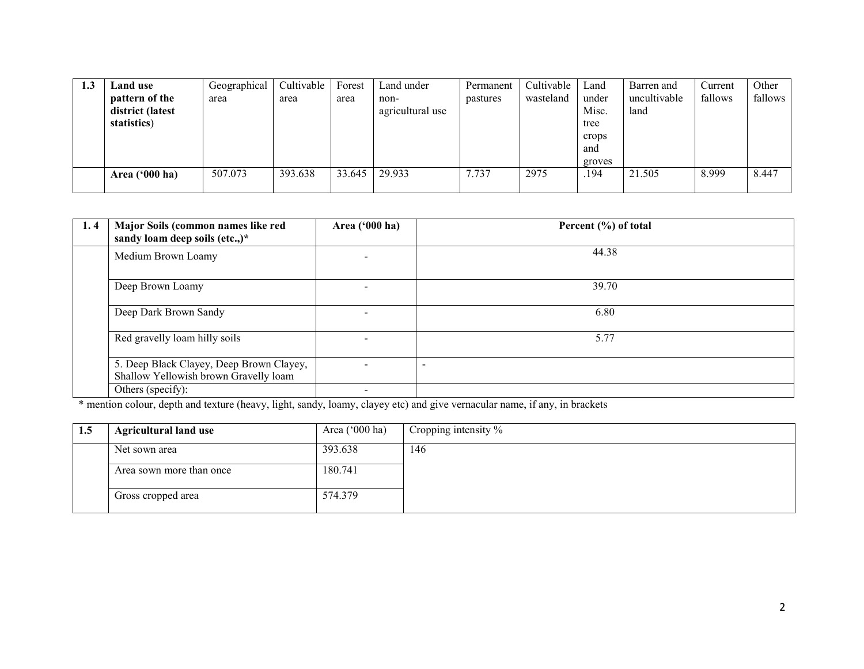| 1.3 | Land use                | Geographical | Cultivable | Forest | Land under       | Permanent | Cultivable | Land   | Barren and   | Current | Other   |
|-----|-------------------------|--------------|------------|--------|------------------|-----------|------------|--------|--------------|---------|---------|
|     | pattern of the          | area         | area       | area   | non-             | pastures  | wasteland  | under  | uncultivable | fallows | fallows |
|     | district (latest        |              |            |        | agricultural use |           |            | Misc.  | land         |         |         |
|     | statistics)             |              |            |        |                  |           |            | tree   |              |         |         |
|     |                         |              |            |        |                  |           |            | crops  |              |         |         |
|     |                         |              |            |        |                  |           |            | and    |              |         |         |
|     |                         |              |            |        |                  |           |            | groves |              |         |         |
|     | Area $(900 \text{ ha})$ | 507.073      | 393.638    | 33.645 | 29.933           | 7.737     | 2975       | .194   | 21.505       | 8.999   | 8.447   |
|     |                         |              |            |        |                  |           |            |        |              |         |         |

| 1,4 | Major Soils (common names like red<br>sandy loam deep soils (etc.,)*              | Area ('000 ha)           | Percent (%) of total |
|-----|-----------------------------------------------------------------------------------|--------------------------|----------------------|
|     | Medium Brown Loamy                                                                |                          | 44.38                |
|     | Deep Brown Loamy                                                                  |                          | 39.70                |
|     | Deep Dark Brown Sandy                                                             | $\overline{\phantom{0}}$ | 6.80                 |
|     | Red gravelly loam hilly soils                                                     |                          | 5.77                 |
|     | 5. Deep Black Clayey, Deep Brown Clayey,<br>Shallow Yellowish brown Gravelly loam |                          |                      |
|     | Others (specify):                                                                 |                          |                      |

\* mention colour, depth and texture (heavy, light, sandy, loamy, clayey etc) and give vernacular name, if any, in brackets

| 1.5 | <b>Agricultural land use</b> | Area $('000 ha)$ | Cropping intensity $\%$ |
|-----|------------------------------|------------------|-------------------------|
|     | Net sown area                | 393.638          | 146                     |
|     | Area sown more than once     | 180.741          |                         |
|     | Gross cropped area           | 574.379          |                         |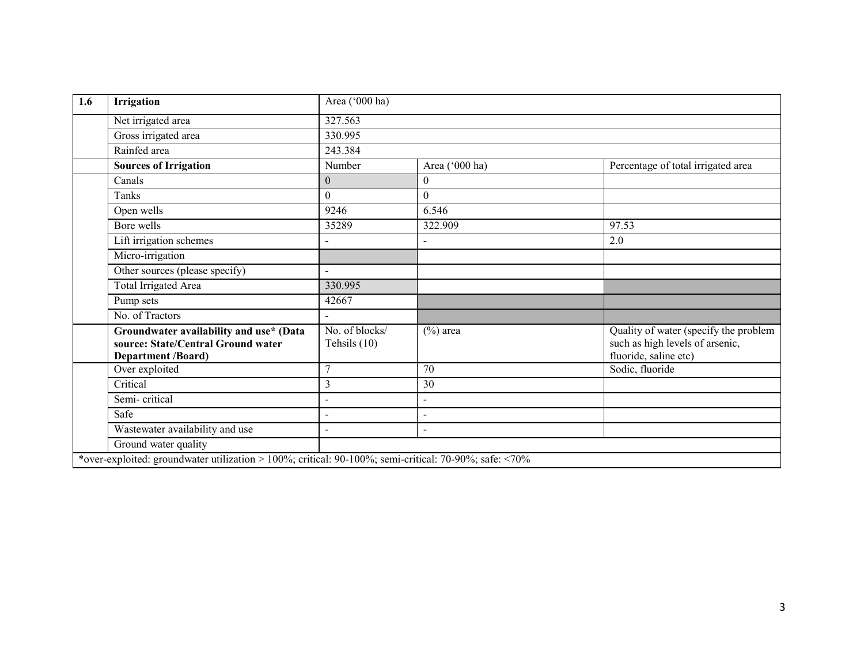| 1.6 | Irrigation                                                                                                 | Area ('000 ha)                 |                |                                                                                                   |
|-----|------------------------------------------------------------------------------------------------------------|--------------------------------|----------------|---------------------------------------------------------------------------------------------------|
|     | Net irrigated area                                                                                         | 327.563                        |                |                                                                                                   |
|     | Gross irrigated area                                                                                       | 330.995                        |                |                                                                                                   |
|     | Rainfed area                                                                                               | 243.384                        |                |                                                                                                   |
|     | <b>Sources of Irrigation</b>                                                                               | Number                         | Area ('000 ha) | Percentage of total irrigated area                                                                |
|     | Canals                                                                                                     | $\overline{0}$                 | $\mathbf{0}$   |                                                                                                   |
|     | Tanks                                                                                                      | $\overline{0}$                 | $\theta$       |                                                                                                   |
|     | Open wells                                                                                                 | 9246                           | 6.546          |                                                                                                   |
|     | Bore wells                                                                                                 | 35289                          | 322.909        | 97.53                                                                                             |
|     | Lift irrigation schemes                                                                                    |                                |                | 2.0                                                                                               |
|     | Micro-irrigation                                                                                           |                                |                |                                                                                                   |
|     | Other sources (please specify)                                                                             | $\overline{\phantom{0}}$       |                |                                                                                                   |
|     | <b>Total Irrigated Area</b>                                                                                | 330.995                        |                |                                                                                                   |
|     | Pump sets                                                                                                  | 42667                          |                |                                                                                                   |
|     | No. of Tractors                                                                                            |                                |                |                                                                                                   |
|     | Groundwater availability and use* (Data<br>source: State/Central Ground water<br><b>Department /Board)</b> | No. of blocks/<br>Tehsils (10) | $(\%)$ area    | Quality of water (specify the problem<br>such as high levels of arsenic,<br>fluoride, saline etc) |
|     | Over exploited                                                                                             | 7                              | 70             | Sodic, fluoride                                                                                   |
|     | Critical                                                                                                   | 3                              | 30             |                                                                                                   |
|     | Semi-critical                                                                                              |                                | -              |                                                                                                   |
|     | Safe                                                                                                       | $\overline{a}$                 | $\overline{a}$ |                                                                                                   |
|     | Wastewater availability and use                                                                            | $\overline{a}$                 | $\overline{a}$ |                                                                                                   |
|     | Ground water quality                                                                                       |                                |                |                                                                                                   |
|     | *over-exploited: groundwater utilization > 100%; critical: 90-100%; semi-critical: 70-90%; safe: <70%      |                                |                |                                                                                                   |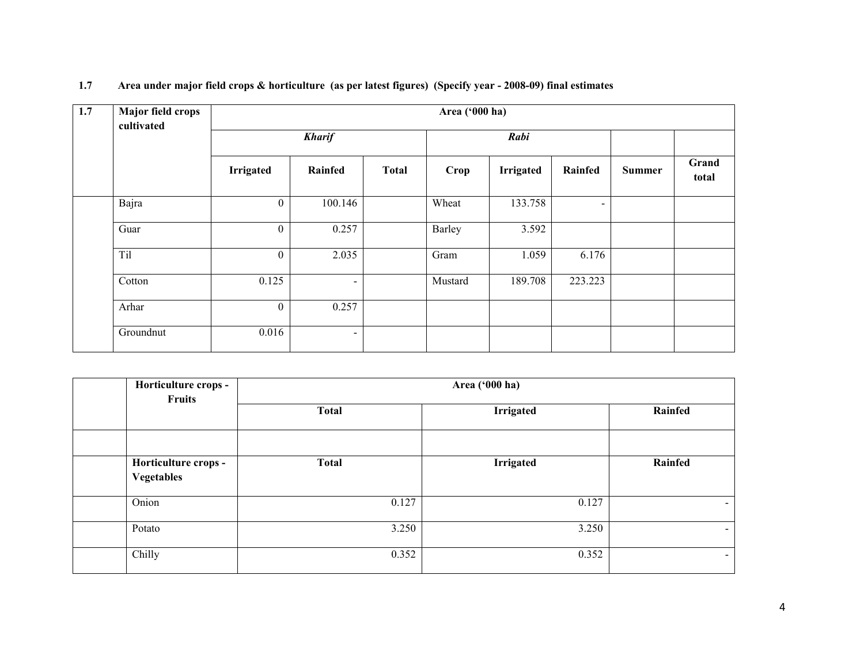| 1.7 | <b>Major field crops</b><br>cultivated | Area ('000 ha)   |                          |              |         |           |                |               |                |  |
|-----|----------------------------------------|------------------|--------------------------|--------------|---------|-----------|----------------|---------------|----------------|--|
|     |                                        |                  | <b>Kharif</b>            |              | Rabi    |           |                |               |                |  |
|     |                                        | <b>Irrigated</b> | Rainfed                  | <b>Total</b> | Crop    | Irrigated | Rainfed        | <b>Summer</b> | Grand<br>total |  |
|     | Bajra                                  | $\mathbf{0}$     | 100.146                  |              | Wheat   | 133.758   | $\blacksquare$ |               |                |  |
|     | Guar                                   | $\overline{0}$   | 0.257                    |              | Barley  | 3.592     |                |               |                |  |
|     | Til                                    | $\mathbf{0}$     | 2.035                    |              | Gram    | 1.059     | 6.176          |               |                |  |
|     | Cotton                                 | 0.125            | $\overline{\phantom{0}}$ |              | Mustard | 189.708   | 223.223        |               |                |  |
|     | Arhar                                  | $\mathbf{0}$     | 0.257                    |              |         |           |                |               |                |  |
|     | Groundnut                              | 0.016            | ۰.                       |              |         |           |                |               |                |  |

| 1.7 | Area under major field crops & horticulture (as per latest figures) (Specify year - 2008-09) final estimates |  |  |  |  |
|-----|--------------------------------------------------------------------------------------------------------------|--|--|--|--|
|-----|--------------------------------------------------------------------------------------------------------------|--|--|--|--|

| Horticulture crops -<br><b>Fruits</b>     | Area ('000 ha) |                  |                |  |  |  |  |  |
|-------------------------------------------|----------------|------------------|----------------|--|--|--|--|--|
|                                           | <b>Total</b>   | <b>Irrigated</b> | Rainfed        |  |  |  |  |  |
| Horticulture crops -<br><b>Vegetables</b> | <b>Total</b>   | Irrigated        | Rainfed        |  |  |  |  |  |
| Onion                                     | 0.127          | 0.127            | Ξ.             |  |  |  |  |  |
| Potato                                    | 3.250          | 3.250            | $\blacksquare$ |  |  |  |  |  |
| Chilly                                    | 0.352          | 0.352            | ۰.             |  |  |  |  |  |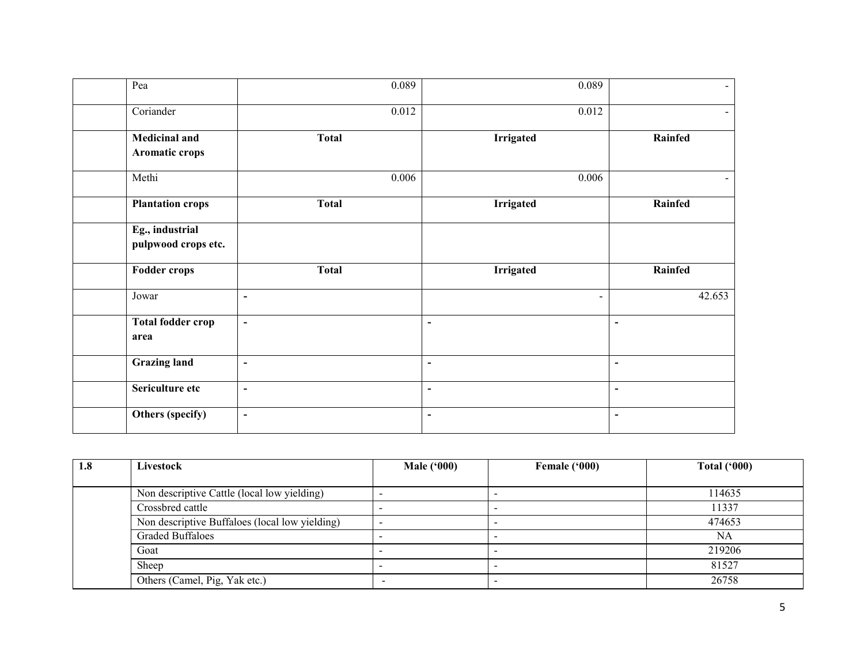| Pea                                    | 0.089                    | 0.089            | $\sim$                   |
|----------------------------------------|--------------------------|------------------|--------------------------|
| Coriander                              | 0.012                    | 0.012            | $\blacksquare$           |
| <b>Medicinal and</b><br>Aromatic crops | <b>Total</b>             | <b>Irrigated</b> | Rainfed                  |
| Methi                                  | 0.006                    | 0.006            | $\blacksquare$           |
| <b>Plantation crops</b>                | <b>Total</b>             | <b>Irrigated</b> | Rainfed                  |
| Eg., industrial<br>pulpwood crops etc. |                          |                  |                          |
| <b>Fodder crops</b>                    | <b>Total</b>             | <b>Irrigated</b> | Rainfed                  |
| Jowar                                  | $\blacksquare$           | $\sim$           | 42.653                   |
| <b>Total fodder crop</b><br>area       | $\overline{\phantom{a}}$ | $\blacksquare$   | $\overline{\phantom{a}}$ |
| <b>Grazing land</b>                    | $\blacksquare$           | $\blacksquare$   | $\blacksquare$           |
| Sericulture etc                        | $\blacksquare$           | $\blacksquare$   | $\blacksquare$           |
| Others (specify)                       | $\overline{\phantom{a}}$ | $\blacksquare$   | $\overline{\phantom{a}}$ |

| 1.8 | Livestock                                      | Male $(900)$ | Female ('000) | Total $(900)$ |
|-----|------------------------------------------------|--------------|---------------|---------------|
|     |                                                |              |               |               |
|     | Non descriptive Cattle (local low yielding)    |              |               | 114635        |
|     | Crossbred cattle                               |              |               | 11337         |
|     | Non descriptive Buffaloes (local low yielding) |              |               | 474653        |
|     | <b>Graded Buffaloes</b>                        |              |               | NA            |
|     | Goat                                           |              |               | 219206        |
|     | Sheep                                          |              |               | 81527         |
|     | Others (Camel, Pig, Yak etc.)                  |              |               | 26758         |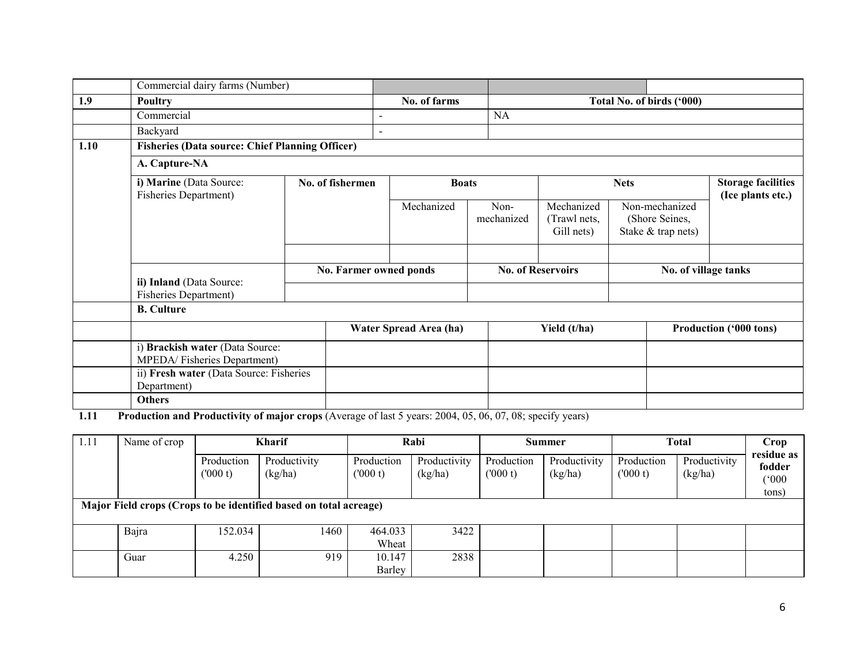|      | Commercial dairy farms (Number)                                |                  |                        |                          |                                               |                                                        |                                                |  |
|------|----------------------------------------------------------------|------------------|------------------------|--------------------------|-----------------------------------------------|--------------------------------------------------------|------------------------------------------------|--|
| 1.9  | Poultry                                                        |                  | No. of farms           |                          |                                               | Total No. of birds ('000)                              |                                                |  |
|      | Commercial                                                     |                  |                        | <b>NA</b>                |                                               |                                                        |                                                |  |
|      | Backyard                                                       |                  | $\blacksquare$         |                          |                                               |                                                        |                                                |  |
| 1.10 | <b>Fisheries (Data source: Chief Planning Officer)</b>         |                  |                        |                          |                                               |                                                        |                                                |  |
|      | A. Capture-NA                                                  |                  |                        |                          |                                               |                                                        |                                                |  |
|      | i) Marine (Data Source:<br>Fisheries Department)               | No. of fishermen | <b>Boats</b>           |                          |                                               | <b>Nets</b>                                            | <b>Storage facilities</b><br>(Ice plants etc.) |  |
|      |                                                                |                  | Mechanized             | Non-<br>mechanized       | Mechanized<br>(Trawl nets,<br>Gill nets)      | Non-mechanized<br>(Shore Seines,<br>Stake & trap nets) |                                                |  |
|      |                                                                |                  |                        |                          |                                               |                                                        |                                                |  |
|      |                                                                |                  | No. Farmer owned ponds | <b>No. of Reservoirs</b> |                                               | No. of village tanks                                   |                                                |  |
|      | ii) Inland (Data Source:<br>Fisheries Department)              |                  |                        |                          |                                               |                                                        |                                                |  |
|      | <b>B.</b> Culture                                              |                  |                        |                          |                                               |                                                        |                                                |  |
|      |                                                                |                  | Water Spread Area (ha) |                          | Yield (t/ha)<br><b>Production ('000 tons)</b> |                                                        |                                                |  |
|      | i) Brackish water (Data Source:<br>MPEDA/Fisheries Department) |                  |                        |                          |                                               |                                                        |                                                |  |
|      | ii) Fresh water (Data Source: Fisheries<br>Department)         |                  |                        |                          |                                               |                                                        |                                                |  |
|      | <b>Others</b>                                                  |                  |                        |                          |                                               |                                                        |                                                |  |

**1.11** Production and Productivity of major crops (Average of last 5 years: 2004, 05, 06, 07, 08; specify years)

| 1.11 | Name of crop                                                               | <b>Kharif</b>         |                         |                       | Rabi                    | <b>Summer</b>         |                         | <b>Total</b>          |                         | Crop                          |
|------|----------------------------------------------------------------------------|-----------------------|-------------------------|-----------------------|-------------------------|-----------------------|-------------------------|-----------------------|-------------------------|-------------------------------|
|      |                                                                            | Production<br>(000 t) | Productivity<br>(kg/ha) | Production<br>(000 t) | Productivity<br>(kg/ha) | Production<br>(000 t) | Productivity<br>(kg/ha) | Production<br>(000 t) | Productivity<br>(kg/ha) | residue as<br>fodder<br>(000) |
|      | tons)<br>Major Field crops (Crops to be identified based on total acreage) |                       |                         |                       |                         |                       |                         |                       |                         |                               |
|      |                                                                            |                       |                         |                       |                         |                       |                         |                       |                         |                               |
|      | Bajra                                                                      | 152.034               | 1460                    | 464.033               | 3422                    |                       |                         |                       |                         |                               |
|      |                                                                            |                       |                         | Wheat                 |                         |                       |                         |                       |                         |                               |
|      | Guar                                                                       | 4.250                 | 919                     | 10.147                | 2838                    |                       |                         |                       |                         |                               |
|      |                                                                            |                       |                         | Barley                |                         |                       |                         |                       |                         |                               |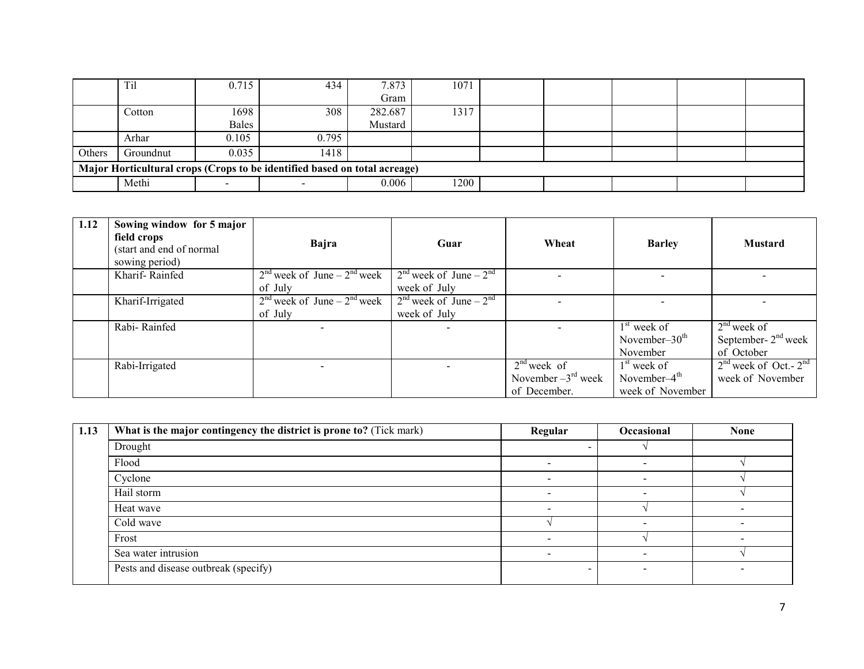|                                                                           | Til       | 0.715 | 434   | 7.873   | 1071 |  |  |  |  |  |
|---------------------------------------------------------------------------|-----------|-------|-------|---------|------|--|--|--|--|--|
|                                                                           |           |       |       | Gram    |      |  |  |  |  |  |
|                                                                           | Cotton    | 1698  | 308   | 282.687 | 1317 |  |  |  |  |  |
|                                                                           |           | Bales |       | Mustard |      |  |  |  |  |  |
|                                                                           | Arhar     | 0.105 | 0.795 |         |      |  |  |  |  |  |
| Others                                                                    | Groundnut | 0.035 | 1418  |         |      |  |  |  |  |  |
| Major Horticultural crops (Crops to be identified based on total acreage) |           |       |       |         |      |  |  |  |  |  |
|                                                                           | Methi     |       |       | 0.006   | 1200 |  |  |  |  |  |

| 1.12 | Sowing window for 5 major<br>field crops<br>(start and end of normal<br>sowing period) | Bajra                           | Guar                       | Wheat                          | <b>Barley</b>    | <b>Mustard</b>            |
|------|----------------------------------------------------------------------------------------|---------------------------------|----------------------------|--------------------------------|------------------|---------------------------|
|      | Kharif-Rainfed                                                                         | $2nd$ week of June – $2nd$ week | $2nd$ week of June – $2nd$ |                                |                  |                           |
|      |                                                                                        | of July                         | week of July               |                                |                  |                           |
|      | Kharif-Irrigated                                                                       | $2nd$ week of June – $2nd$ week | $2nd$ week of June – $2nd$ |                                |                  |                           |
|      |                                                                                        | of July                         | week of July               |                                |                  |                           |
|      | Rabi-Rainfed                                                                           |                                 |                            |                                | $1st$ week of    | $2nd$ week of             |
|      |                                                                                        |                                 |                            |                                | November- $30th$ | September- $2nd$ week     |
|      |                                                                                        |                                 |                            |                                | November         | of October                |
|      | Rabi-Irrigated                                                                         |                                 |                            | $2nd$ week of                  | $1st$ week of    | $2nd$ week of Oct.- $2nd$ |
|      |                                                                                        |                                 |                            | November $-3^{\text{rd}}$ week | November- $4th$  | week of November          |
|      |                                                                                        |                                 |                            | of December.                   | week of November |                           |

| 1.13 | What is the major contingency the district is prone to? (Tick mark) | Regular | Occasional | <b>None</b> |
|------|---------------------------------------------------------------------|---------|------------|-------------|
|      | Drought                                                             |         |            |             |
|      | Flood                                                               |         |            |             |
|      | Cyclone                                                             |         |            |             |
|      | Hail storm                                                          |         |            |             |
|      | Heat wave                                                           |         |            |             |
|      | Cold wave                                                           |         |            |             |
|      | Frost                                                               |         |            |             |
|      | Sea water intrusion                                                 |         |            |             |
|      | Pests and disease outbreak (specify)                                |         |            |             |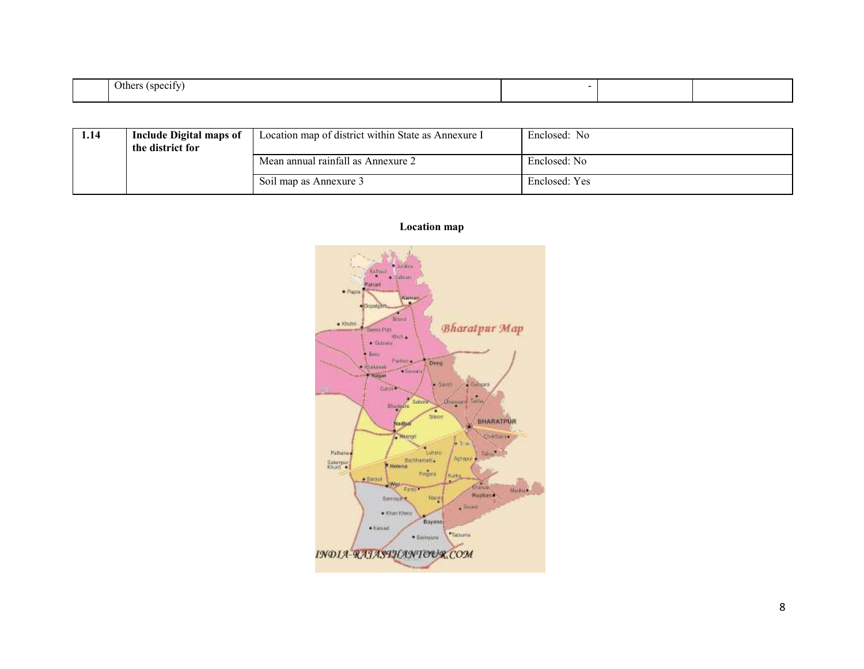| $\sim$<br>пe |  |  |
|--------------|--|--|

| l.14 | <b>Include Digital maps of</b><br>the district for | Location map of district within State as Annexure I | Enclosed: No  |
|------|----------------------------------------------------|-----------------------------------------------------|---------------|
|      |                                                    | Mean annual rainfall as Annexure 2                  | Enclosed: No  |
|      |                                                    | Soil map as Annexure 3                              | Enclosed: Yes |



Location map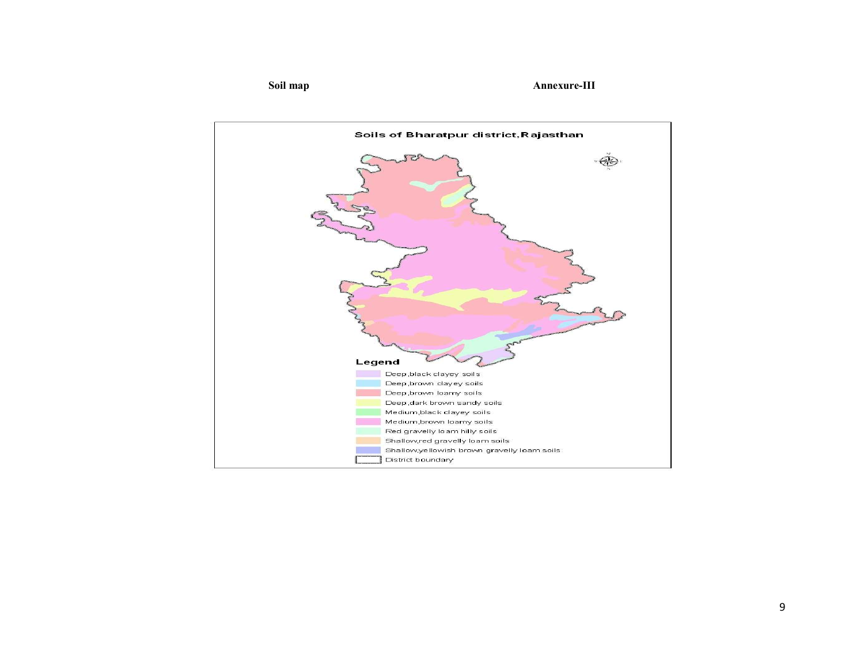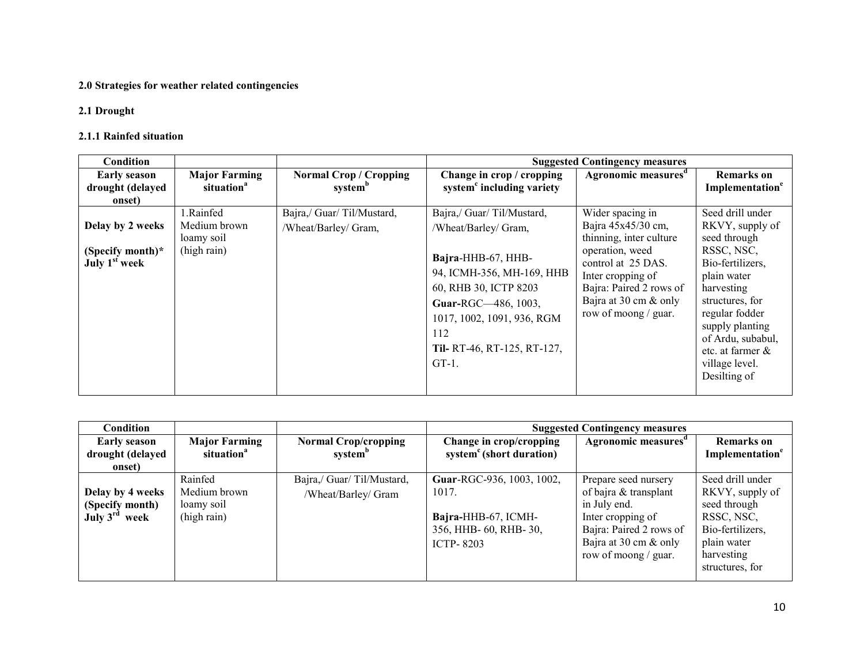#### 2.0 Strategies for weather related contingencies

## 2.1 Drought

#### 2.1.1 Rainfed situation

| <b>Condition</b>                                                  |                                                        |                                                      |                                                                                                                                                                                                                                      | <b>Suggested Contingency measures</b>                                                                                                                                                                       |                                                                                                                                                                                                                                                       |
|-------------------------------------------------------------------|--------------------------------------------------------|------------------------------------------------------|--------------------------------------------------------------------------------------------------------------------------------------------------------------------------------------------------------------------------------------|-------------------------------------------------------------------------------------------------------------------------------------------------------------------------------------------------------------|-------------------------------------------------------------------------------------------------------------------------------------------------------------------------------------------------------------------------------------------------------|
| <b>Early season</b><br>drought (delayed<br>onset)                 | <b>Major Farming</b><br>situation <sup>a</sup>         | <b>Normal Crop / Cropping</b><br>system <sup>b</sup> | Change in crop / cropping<br>system <sup>c</sup> including variety                                                                                                                                                                   | Agronomic measures <sup>d</sup>                                                                                                                                                                             | <b>Remarks</b> on<br>Implementation <sup>e</sup>                                                                                                                                                                                                      |
| Delay by 2 weeks<br>(Specify month)*<br>July 1 <sup>st</sup> week | 1.Rainfed<br>Medium brown<br>loamy soil<br>(high rain) | Bajra,/ Guar/ Til/Mustard,<br>/Wheat/Barley/ Gram,   | Bajra,/ Guar/ Til/Mustard,<br>/Wheat/Barley/ Gram,<br>Bajra-HHB-67, HHB-<br>94, ICMH-356, MH-169, HHB<br>60, RHB 30, ICTP 8203<br>Guar-RGC-486, 1003,<br>1017, 1002, 1091, 936, RGM<br>112<br>Til-RT-46, RT-125, RT-127,<br>$GT-1$ . | Wider spacing in<br>Bajra 45x45/30 cm,<br>thinning, inter culture<br>operation, weed<br>control at 25 DAS.<br>Inter cropping of<br>Bajra: Paired 2 rows of<br>Bajra at 30 cm & only<br>row of moong / guar. | Seed drill under<br>RKVY, supply of<br>seed through<br>RSSC, NSC,<br>Bio-fertilizers,<br>plain water<br>harvesting<br>structures, for<br>regular fodder<br>supply planting<br>of Ardu, subabul,<br>etc. at farmer &<br>village level.<br>Desilting of |

| Condition                                                        |                                                      |                                                   | <b>Suggested Contingency measures</b>                                                                 |                                                                                                                                        |                                                                                                      |  |
|------------------------------------------------------------------|------------------------------------------------------|---------------------------------------------------|-------------------------------------------------------------------------------------------------------|----------------------------------------------------------------------------------------------------------------------------------------|------------------------------------------------------------------------------------------------------|--|
| <b>Early season</b>                                              | <b>Major Farming</b>                                 | <b>Normal Crop/cropping</b>                       | Change in crop/cropping                                                                               | Agronomic measures <sup>d</sup>                                                                                                        | <b>Remarks</b> on                                                                                    |  |
| drought (delayed                                                 | situation <sup>a</sup>                               | system <sup>b</sup>                               | system <sup>c</sup> (short duration)                                                                  |                                                                                                                                        | Implementation <sup>e</sup>                                                                          |  |
| onset)                                                           |                                                      |                                                   |                                                                                                       |                                                                                                                                        |                                                                                                      |  |
| Delay by 4 weeks<br>(Specify month)<br>July $3^{\text{rd}}$ week | Rainfed<br>Medium brown<br>loamy soil<br>(high rain) | Bajra,/ Guar/ Til/Mustard,<br>/Wheat/Barley/ Gram | Guar-RGC-936, 1003, 1002,<br>1017.<br>Bajra-HHB-67, ICMH-<br>356, HHB-60, RHB-30,<br><b>ICTP-8203</b> | Prepare seed nursery<br>of bajra & transplant<br>in July end.<br>Inter cropping of<br>Bajra: Paired 2 rows of<br>Bajra at 30 cm & only | Seed drill under<br>RKVY, supply of<br>seed through<br>RSSC, NSC,<br>Bio-fertilizers,<br>plain water |  |
|                                                                  |                                                      |                                                   |                                                                                                       | row of moong / guar.                                                                                                                   | harvesting<br>structures, for                                                                        |  |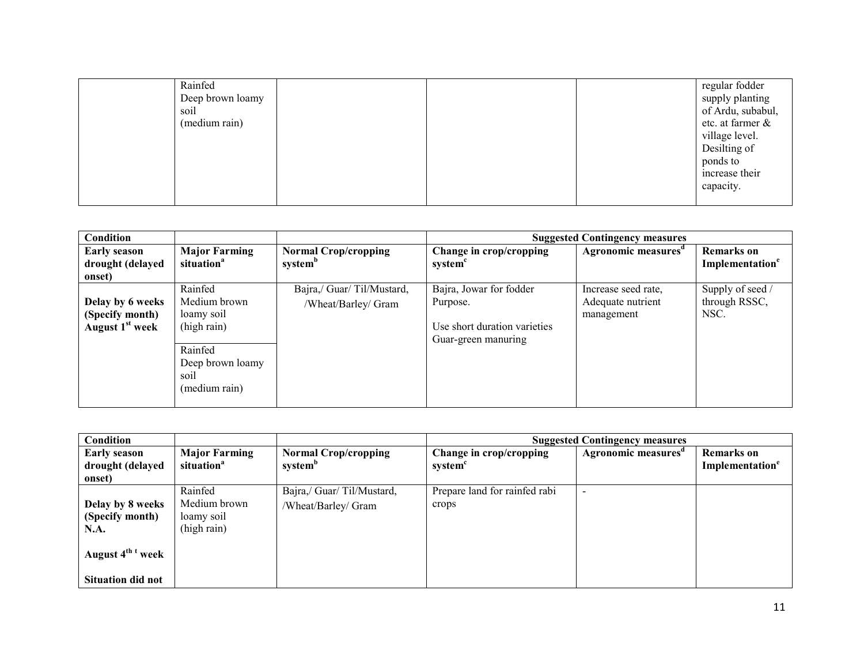| Rainfed<br>soil<br>(medium rain) | Deep brown loamy |  | regular fodder<br>supply planting<br>of Ardu, subabul,<br>etc. at farmer &<br>village level.<br>Desilting of<br>ponds to<br>increase their<br>capacity. |
|----------------------------------|------------------|--|---------------------------------------------------------------------------------------------------------------------------------------------------------|
|                                  |                  |  |                                                                                                                                                         |

| <b>Condition</b>                                                   |                                                                                                              |                                                    |                                                                                            | <b>Suggested Contingency measures</b>                  |                                                  |
|--------------------------------------------------------------------|--------------------------------------------------------------------------------------------------------------|----------------------------------------------------|--------------------------------------------------------------------------------------------|--------------------------------------------------------|--------------------------------------------------|
| <b>Early season</b><br>drought (delayed<br>onset)                  | <b>Major Farming</b><br>situation <sup>a</sup>                                                               | <b>Normal Crop/cropping</b><br>system <sup>o</sup> | Change in crop/cropping<br>system                                                          | Agronomic measures <sup>d</sup>                        | <b>Remarks</b> on<br>Implementation <sup>e</sup> |
| Delay by 6 weeks<br>(Specify month)<br>August 1 <sup>st</sup> week | Rainfed<br>Medium brown<br>loamy soil<br>(high rain)<br>Rainfed<br>Deep brown loamy<br>soil<br>(medium rain) | Bajra,/ Guar/ Til/Mustard,<br>/Wheat/Barley/ Gram  | Bajra, Jowar for fodder<br>Purpose.<br>Use short duration varieties<br>Guar-green manuring | Increase seed rate,<br>Adequate nutrient<br>management | Supply of seed /<br>through RSSC,<br>NSC.        |

| Condition                                          |                                                      |                                                    | <b>Suggested Contingency measures</b>  |                    |                                     |  |
|----------------------------------------------------|------------------------------------------------------|----------------------------------------------------|----------------------------------------|--------------------|-------------------------------------|--|
| <b>Early season</b><br>drought (delayed<br>onset)  | <b>Major Farming</b><br>situation <sup>a</sup>       | <b>Normal Crop/cropping</b><br>system <sup>b</sup> | Change in crop/cropping<br>system      | Agronomic measures | <b>Remarks</b> on<br>Implementation |  |
| Delay by 8 weeks<br>(Specify month)<br><b>N.A.</b> | Rainfed<br>Medium brown<br>loamy soil<br>(high rain) | Bajra,/ Guar/ Til/Mustard,<br>/Wheat/Barley/ Gram  | Prepare land for rainfed rabi<br>crops |                    |                                     |  |
| August 4 <sup>th t</sup> week                      |                                                      |                                                    |                                        |                    |                                     |  |
| <b>Situation did not</b>                           |                                                      |                                                    |                                        |                    |                                     |  |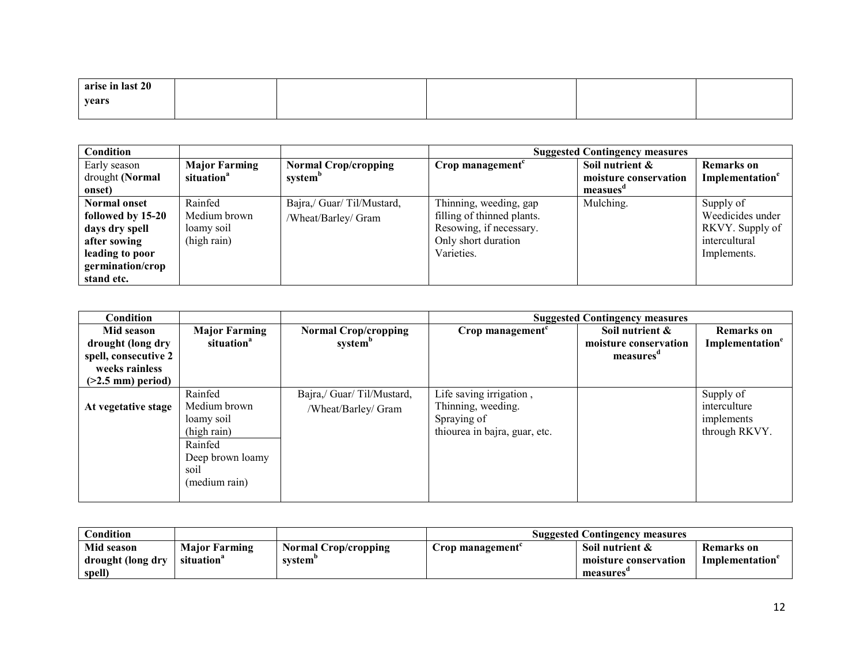| arise in last 20 |  |  |  |
|------------------|--|--|--|
| years            |  |  |  |
|                  |  |  |  |

| Condition           |                        |                             | <b>Suggested Contingency measures</b> |                       |                             |  |
|---------------------|------------------------|-----------------------------|---------------------------------------|-----------------------|-----------------------------|--|
| Early season        | <b>Major Farming</b>   | <b>Normal Crop/cropping</b> | Crop management <sup>c</sup>          | Soil nutrient &       | <b>Remarks</b> on           |  |
| drought (Normal     | situation <sup>a</sup> | system <sup>o</sup>         |                                       | moisture conservation | Implementation <sup>e</sup> |  |
| onset)              |                        |                             |                                       | measues"              |                             |  |
| <b>Normal onset</b> | Rainfed                | Bajra,/ Guar/ Til/Mustard,  | Thinning, weeding, gap                | Mulching.             | Supply of                   |  |
| followed by 15-20   | Medium brown           | /Wheat/Barley/ Gram         | filling of thinned plants.            |                       | Weedicides under            |  |
| days dry spell      | loamy soil             |                             | Resowing, if necessary.               |                       | RKVY. Supply of             |  |
| after sowing        | (high rain)            |                             | Only short duration                   |                       | intercultural               |  |
| leading to poor     |                        |                             | Varieties.                            |                       | Implements.                 |  |
| germination/crop    |                        |                             |                                       |                       |                             |  |
| stand etc.          |                        |                             |                                       |                       |                             |  |

| Condition            |                        |                             | <b>Suggested Contingency measures</b> |                       |                             |
|----------------------|------------------------|-----------------------------|---------------------------------------|-----------------------|-----------------------------|
| Mid season           | <b>Major Farming</b>   | <b>Normal Crop/cropping</b> | Crop management $c$                   | Soil nutrient &       | <b>Remarks</b> on           |
| drought (long dry    | situation <sup>a</sup> | system <sup>b</sup>         |                                       | moisture conservation | Implementation <sup>e</sup> |
| spell, consecutive 2 |                        |                             |                                       | measures              |                             |
| weeks rainless       |                        |                             |                                       |                       |                             |
| $($ >2.5 mm) period) |                        |                             |                                       |                       |                             |
|                      | Rainfed                | Bajra,/ Guar/ Til/Mustard,  | Life saving irrigation,               |                       | Supply of                   |
| At vegetative stage  | Medium brown           | /Wheat/Barley/ Gram         | Thinning, weeding.                    |                       | interculture                |
|                      | loamy soil             |                             | Spraying of                           |                       | implements                  |
|                      | (high rain)            |                             | thiourea in bajra, guar, etc.         |                       | through RKVY.               |
|                      | Rainfed                |                             |                                       |                       |                             |
|                      | Deep brown loamy       |                             |                                       |                       |                             |
|                      | soil                   |                             |                                       |                       |                             |
|                      | (medium rain)          |                             |                                       |                       |                             |
|                      |                        |                             |                                       |                       |                             |

| Condition         |                        |                             | <b>Suggested Contingency measures</b> |                       |                   |
|-------------------|------------------------|-----------------------------|---------------------------------------|-----------------------|-------------------|
| Mid season        | <b>Major Farming</b>   | <b>Normal Crop/cropping</b> | rop management                        | Soil nutrient &       | <b>Remarks</b> on |
| drought (long dry | situation <sup>a</sup> | system'                     |                                       | moisture conservation | Implementation    |
| spell)            |                        |                             |                                       | measures              |                   |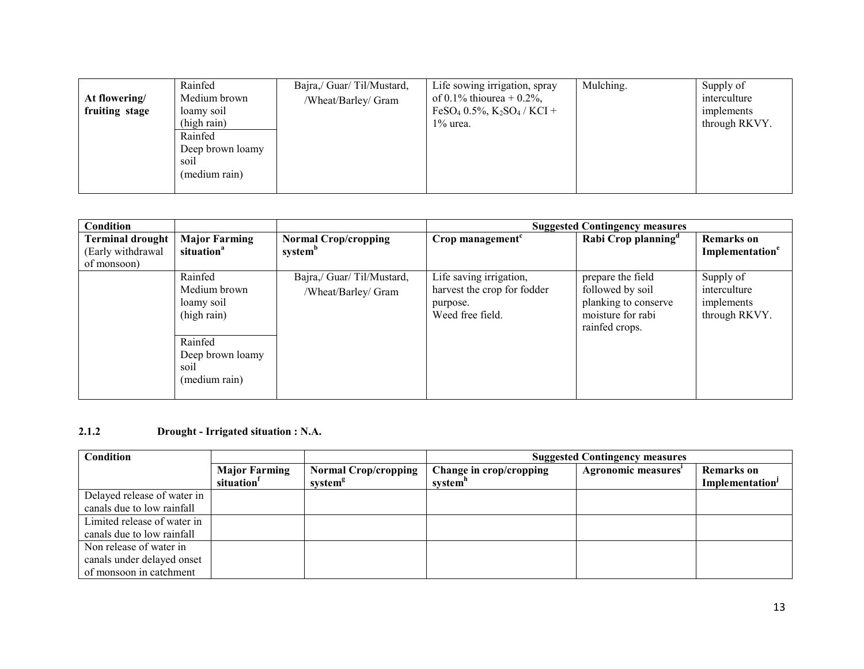| At flowering/  | Rainfed<br>Medium brown                                                           | Bajra,/ Guar/ Til/Mustard,<br>/Wheat/Barley/ Gram | Life sowing irrigation, spray<br>of 0.1% thiourea + 0.2%,                     | Mulching. | Supply of<br>interculture   |
|----------------|-----------------------------------------------------------------------------------|---------------------------------------------------|-------------------------------------------------------------------------------|-----------|-----------------------------|
| fruiting stage | loamy soil<br>(high rain)<br>Rainfed<br>Deep brown loamy<br>soil<br>(medium rain) |                                                   | FeSO <sub>4</sub> 0.5%, K <sub>2</sub> SO <sub>4</sub> / KCI +<br>$1\%$ urea. |           | implements<br>through RKVY. |

| Condition                                    |                                                      |                                                    | <b>Suggested Contingency measures</b>                                                  |                                                                                                      |                                                          |
|----------------------------------------------|------------------------------------------------------|----------------------------------------------------|----------------------------------------------------------------------------------------|------------------------------------------------------------------------------------------------------|----------------------------------------------------------|
| <b>Terminal drought</b><br>(Early withdrawal | <b>Major Farming</b><br>situation <sup>a</sup>       | <b>Normal Crop/cropping</b><br>system <sup>b</sup> | Crop management <sup>c</sup>                                                           | Rabi Crop planning <sup>a</sup>                                                                      | <b>Remarks</b> on<br>Implementation <sup>e</sup>         |
| of monsoon)                                  |                                                      |                                                    |                                                                                        |                                                                                                      |                                                          |
|                                              | Rainfed<br>Medium brown<br>loamy soil<br>(high rain) | Bajra,/ Guar/ Til/Mustard,<br>/Wheat/Barley/ Gram  | Life saving irrigation,<br>harvest the crop for fodder<br>purpose.<br>Weed free field. | prepare the field<br>followed by soil<br>planking to conserve<br>moisture for rabi<br>rainfed crops. | Supply of<br>interculture<br>implements<br>through RKVY. |
|                                              | Rainfed<br>Deep brown loamy<br>soil<br>(medium rain) |                                                    |                                                                                        |                                                                                                      |                                                          |

## 2.1.2 Drought - Irrigated situation : N.A.

| Condition                   |                                                |                                                    | <b>Suggested Contingency measures</b> |                     |                                                  |
|-----------------------------|------------------------------------------------|----------------------------------------------------|---------------------------------------|---------------------|--------------------------------------------------|
|                             | <b>Major Farming</b><br>situation <sup>1</sup> | <b>Normal Crop/cropping</b><br>system <sup>s</sup> | Change in crop/cropping<br>system"    | Agronomic measures' | <b>Remarks</b> on<br>Implementation <sup>J</sup> |
| Delayed release of water in |                                                |                                                    |                                       |                     |                                                  |
| canals due to low rainfall  |                                                |                                                    |                                       |                     |                                                  |
| Limited release of water in |                                                |                                                    |                                       |                     |                                                  |
| canals due to low rainfall  |                                                |                                                    |                                       |                     |                                                  |
| Non release of water in     |                                                |                                                    |                                       |                     |                                                  |
| canals under delayed onset  |                                                |                                                    |                                       |                     |                                                  |
| of monsoon in catchment     |                                                |                                                    |                                       |                     |                                                  |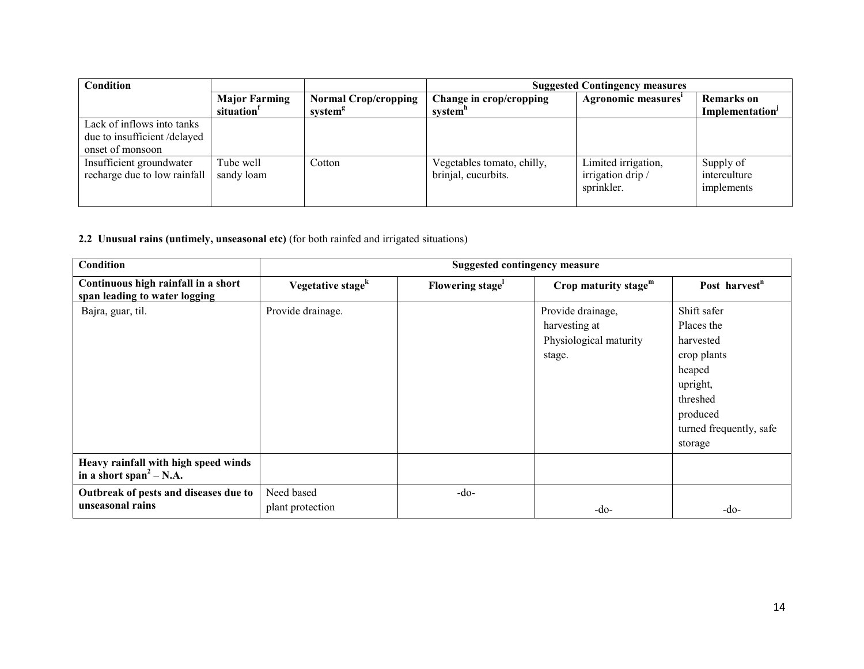| Condition                                                                     |                                                |                                                    | <b>Suggested Contingency measures</b>             |                                                        |                                                  |
|-------------------------------------------------------------------------------|------------------------------------------------|----------------------------------------------------|---------------------------------------------------|--------------------------------------------------------|--------------------------------------------------|
|                                                                               | <b>Major Farming</b><br>situation <sup>1</sup> | <b>Normal Crop/cropping</b><br>system <sup>g</sup> | Change in crop/cropping<br>system"                | Agronomic measures'                                    | <b>Remarks</b> on<br>Implementation <sup>J</sup> |
| Lack of inflows into tanks<br>due to insufficient/delayed<br>onset of monsoon |                                                |                                                    |                                                   |                                                        |                                                  |
| Insufficient groundwater<br>recharge due to low rainfall                      | Tube well<br>sandy loam                        | Cotton                                             | Vegetables tomato, chilly,<br>brinjal, cucurbits. | Limited irrigation,<br>irrigation drip /<br>sprinkler. | Supply of<br>interculture<br>implements          |

#### 2.2 Unusual rains (untimely, unseasonal etc) (for both rainfed and irrigated situations)

| Condition                                                                   | <b>Suggested contingency measure</b> |                 |                                                                        |                                                                                                                                           |  |
|-----------------------------------------------------------------------------|--------------------------------------|-----------------|------------------------------------------------------------------------|-------------------------------------------------------------------------------------------------------------------------------------------|--|
| Continuous high rainfall in a short<br>span leading to water logging        | Vegetative stage <sup>k</sup>        | Flowering stage | Crop maturity stage $m$                                                | Post harvest <sup>n</sup>                                                                                                                 |  |
| Bajra, guar, til.                                                           | Provide drainage.                    |                 | Provide drainage,<br>harvesting at<br>Physiological maturity<br>stage. | Shift safer<br>Places the<br>harvested<br>crop plants<br>heaped<br>upright,<br>threshed<br>produced<br>turned frequently, safe<br>storage |  |
| Heavy rainfall with high speed winds<br>in a short span <sup>2</sup> – N.A. |                                      |                 |                                                                        |                                                                                                                                           |  |
| Outbreak of pests and diseases due to<br>unseasonal rains                   | Need based<br>plant protection       | $-do$           | $-do-$                                                                 | $-do-$                                                                                                                                    |  |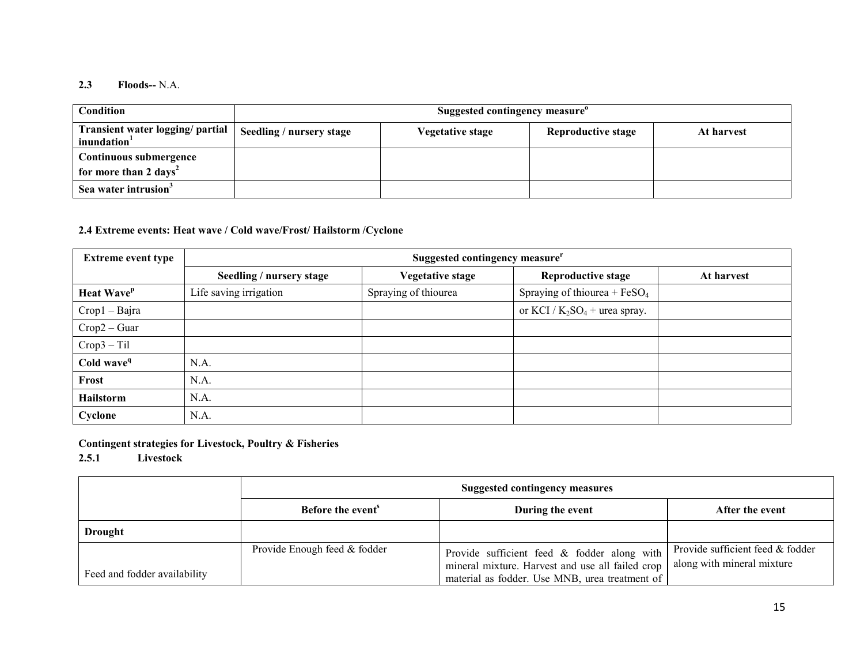#### 2.3 Floods-- N.A.

| <b>Condition</b>                                            | Suggested contingency measure" |                         |                    |            |  |  |
|-------------------------------------------------------------|--------------------------------|-------------------------|--------------------|------------|--|--|
| Transient water logging/ partial<br>inundation <sup>1</sup> | Seedling / nursery stage       | <b>Vegetative stage</b> | Reproductive stage | At harvest |  |  |
| Continuous submergence                                      |                                |                         |                    |            |  |  |
| for more than 2 days <sup>2</sup>                           |                                |                         |                    |            |  |  |
| Sea water intrusion <sup>3</sup>                            |                                |                         |                    |            |  |  |

# 2.4 Extreme events: Heat wave / Cold wave/Frost/ Hailstorm /Cyclone

| <b>Extreme event type</b>     | Suggested contingency measure <sup>r</sup> |                      |                                  |            |  |  |
|-------------------------------|--------------------------------------------|----------------------|----------------------------------|------------|--|--|
|                               | Seedling / nursery stage                   | Vegetative stage     | <b>Reproductive stage</b>        | At harvest |  |  |
| <b>Heat Wave</b> <sup>p</sup> | Life saving irrigation                     | Spraying of thiourea | Spraying of thiourea + $FeSO4$   |            |  |  |
| $Crop1 - Bajra$               |                                            |                      | or KCI / $K_2SO_4$ + urea spray. |            |  |  |
| $Crop2 - Guar$                |                                            |                      |                                  |            |  |  |
| $Crop3 - Til$                 |                                            |                      |                                  |            |  |  |
| Cold wave <sup>q</sup>        | N.A.                                       |                      |                                  |            |  |  |
| Frost                         | N.A.                                       |                      |                                  |            |  |  |
| Hailstorm                     | N.A.                                       |                      |                                  |            |  |  |
| Cyclone                       | N.A.                                       |                      |                                  |            |  |  |

Contingent strategies for Livestock, Poultry & Fisheries

2.5.1 Livestock

|                              | <b>Suggested contingency measures</b> |                                                                                                                                                   |                                                                |  |
|------------------------------|---------------------------------------|---------------------------------------------------------------------------------------------------------------------------------------------------|----------------------------------------------------------------|--|
|                              | Before the event <sup>s</sup>         | During the event                                                                                                                                  | After the event                                                |  |
| <b>Drought</b>               |                                       |                                                                                                                                                   |                                                                |  |
| Feed and fodder availability | Provide Enough feed & fodder          | Provide sufficient feed & fodder along with<br>mineral mixture. Harvest and use all failed crop<br>material as fodder. Use MNB, urea treatment of | Provide sufficient feed & fodder<br>along with mineral mixture |  |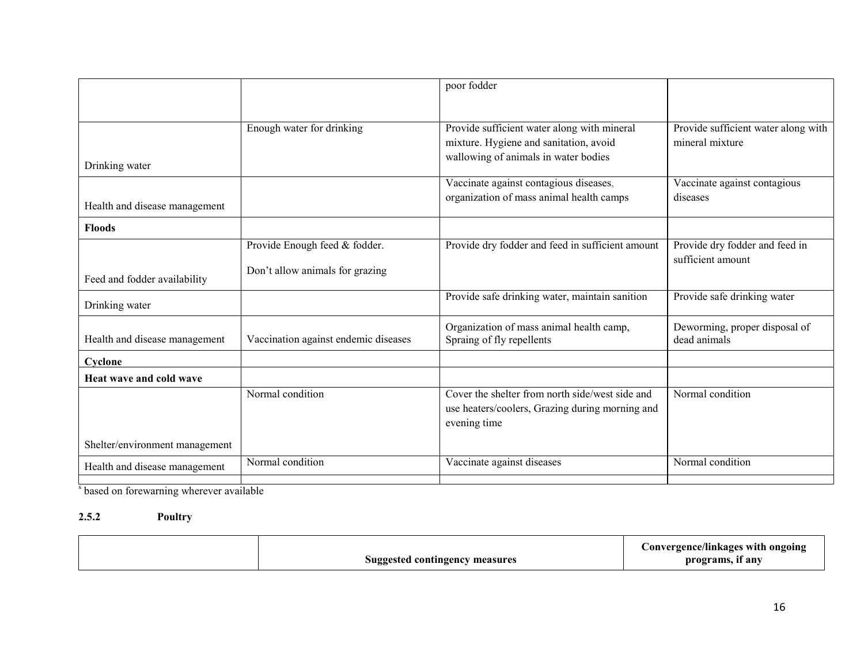|                                |                                                                  | poor fodder                                                                                                                   |                                                        |
|--------------------------------|------------------------------------------------------------------|-------------------------------------------------------------------------------------------------------------------------------|--------------------------------------------------------|
|                                |                                                                  |                                                                                                                               |                                                        |
| Drinking water                 | Enough water for drinking                                        | Provide sufficient water along with mineral<br>mixture. Hygiene and sanitation, avoid<br>wallowing of animals in water bodies | Provide sufficient water along with<br>mineral mixture |
| Health and disease management  |                                                                  | Vaccinate against contagious diseases,<br>organization of mass animal health camps                                            | Vaccinate against contagious<br>diseases               |
| <b>Floods</b>                  |                                                                  |                                                                                                                               |                                                        |
|                                | Provide Enough feed & fodder.<br>Don't allow animals for grazing | Provide dry fodder and feed in sufficient amount                                                                              | Provide dry fodder and feed in<br>sufficient amount    |
| Feed and fodder availability   |                                                                  |                                                                                                                               |                                                        |
| Drinking water                 |                                                                  | Provide safe drinking water, maintain sanition                                                                                | Provide safe drinking water                            |
| Health and disease management  | Vaccination against endemic diseases                             | Organization of mass animal health camp,<br>Spraing of fly repellents                                                         | Deworming, proper disposal of<br>dead animals          |
| Cyclone                        |                                                                  |                                                                                                                               |                                                        |
| Heat wave and cold wave        |                                                                  |                                                                                                                               |                                                        |
|                                | Normal condition                                                 | Cover the shelter from north side/west side and<br>use heaters/coolers, Grazing during morning and<br>evening time            | Normal condition                                       |
| Shelter/environment management |                                                                  |                                                                                                                               |                                                        |
| Health and disease management  | Normal condition                                                 | Vaccinate against diseases                                                                                                    | Normal condition                                       |

<sup>s</sup> based on forewarning wherever available

# 2.5.2 Poultry

| Suggested contingency measures | Convergence/linkages with ongoing<br>programs, if any |
|--------------------------------|-------------------------------------------------------|
|--------------------------------|-------------------------------------------------------|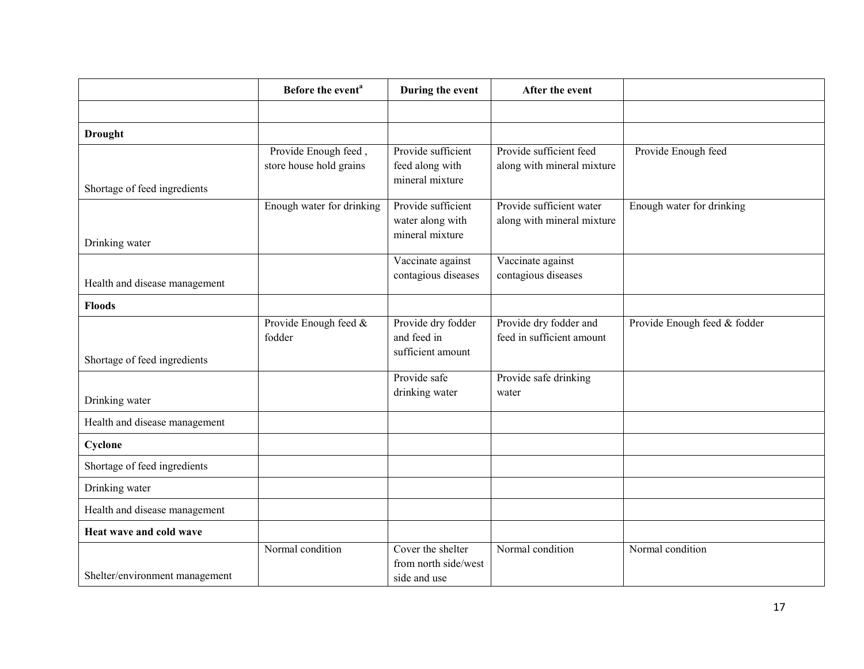|                                | Before the event <sup>a</sup>                   | During the event                                          | After the event                                        |                              |
|--------------------------------|-------------------------------------------------|-----------------------------------------------------------|--------------------------------------------------------|------------------------------|
|                                |                                                 |                                                           |                                                        |                              |
| <b>Drought</b>                 |                                                 |                                                           |                                                        |                              |
| Shortage of feed ingredients   | Provide Enough feed,<br>store house hold grains | Provide sufficient<br>feed along with<br>mineral mixture  | Provide sufficient feed<br>along with mineral mixture  | Provide Enough feed          |
|                                | Enough water for drinking                       | Provide sufficient<br>water along with<br>mineral mixture | Provide sufficient water<br>along with mineral mixture | Enough water for drinking    |
| Drinking water                 |                                                 |                                                           |                                                        |                              |
| Health and disease management  |                                                 | Vaccinate against<br>contagious diseases                  | Vaccinate against<br>contagious diseases               |                              |
| <b>Floods</b>                  |                                                 |                                                           |                                                        |                              |
| Shortage of feed ingredients   | Provide Enough feed &<br>fodder                 | Provide dry fodder<br>and feed in<br>sufficient amount    | Provide dry fodder and<br>feed in sufficient amount    | Provide Enough feed & fodder |
|                                |                                                 | Provide safe                                              | Provide safe drinking                                  |                              |
| Drinking water                 |                                                 | drinking water                                            | water                                                  |                              |
| Health and disease management  |                                                 |                                                           |                                                        |                              |
| Cyclone                        |                                                 |                                                           |                                                        |                              |
| Shortage of feed ingredients   |                                                 |                                                           |                                                        |                              |
| Drinking water                 |                                                 |                                                           |                                                        |                              |
| Health and disease management  |                                                 |                                                           |                                                        |                              |
| Heat wave and cold wave        |                                                 |                                                           |                                                        |                              |
| Shelter/environment management | Normal condition                                | Cover the shelter<br>from north side/west<br>side and use | Normal condition                                       | Normal condition             |